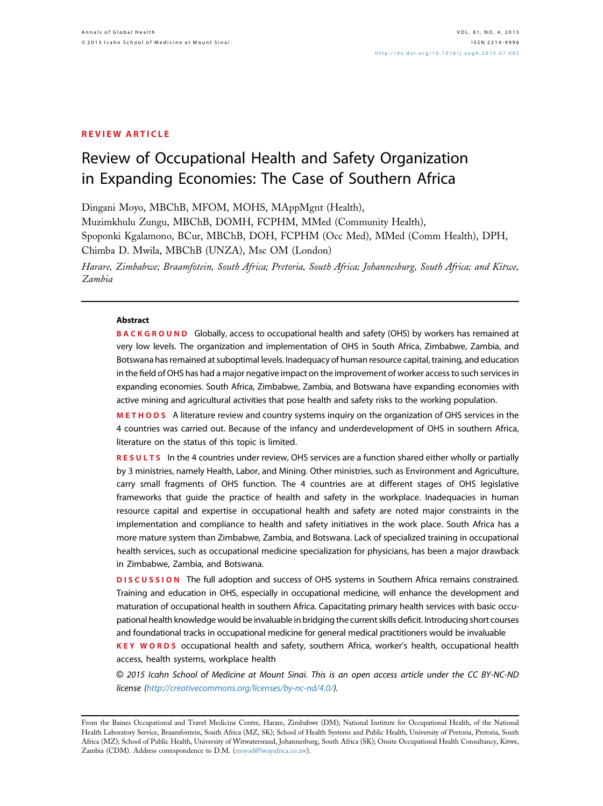## REVIEW ARTICLE

# Review of Occupational Health and Safety Organization in Expanding Economies: The Case of Southern Africa

Dingani Moyo, MBChB, MFOM, MOHS, MAppMgnt (Health),

Muzimkhulu Zungu, MBChB, DOMH, FCPHM, MMed (Community Health), Spoponki Kgalamono, BCur, MBChB, DOH, FCPHM (Occ Med), MMed (Comm Health), DPH, Chimba D. Mwila, MBChB (UNZA), Msc OM (London)

Harare, Zimbabwe; Braamfotein, South Africa; Pretoria, South Africa; Johannesburg, South Africa; and Kitwe, Zambia

### **Abstract**

BACKGROUND Globally, access to occupational health and safety (OHS) by workers has remained at very low levels. The organization and implementation of OHS in South Africa, Zimbabwe, Zambia, and Botswana has remained at suboptimal levels. Inadequacy of human resource capital, training, and education in the field of OHS has had a major negative impact on the improvement of worker access to such services in expanding economies. South Africa, Zimbabwe, Zambia, and Botswana have expanding economies with active mining and agricultural activities that pose health and safety risks to the working population.

METHODS A literature review and country systems inquiry on the organization of OHS services in the 4 countries was carried out. Because of the infancy and underdevelopment of OHS in southern Africa, literature on the status of this topic is limited.

RESULTS In the 4 countries under review, OHS services are a function shared either wholly or partially by 3 ministries, namely Health, Labor, and Mining. Other ministries, such as Environment and Agriculture, carry small fragments of OHS function. The 4 countries are at different stages of OHS legislative frameworks that guide the practice of health and safety in the workplace. Inadequacies in human resource capital and expertise in occupational health and safety are noted major constraints in the implementation and compliance to health and safety initiatives in the work place. South Africa has a more mature system than Zimbabwe, Zambia, and Botswana. Lack of specialized training in occupational health services, such as occupational medicine specialization for physicians, has been a major drawback in Zimbabwe, Zambia, and Botswana.

DISCUSSION The full adoption and success of OHS systems in Southern Africa remains constrained. Training and education in OHS, especially in occupational medicine, will enhance the development and maturation of occupational health in southern Africa. Capacitating primary health services with basic occupational health knowledge would be invaluable in bridging the current skills deficit. Introducing short courses and foundational tracks in occupational medicine for general medical practitioners would be invaluable

KEY WORDS occupational health and safety, southern Africa, worker's health, occupational health access, health systems, workplace health

© 2015 Icahn School of Medicine at Mount Sinai. This is an open access article under the CC BY-NC-ND license [\(http://creativecommons.org/licenses/by-nc-nd/4.0/\)](http://creativecommons.org/licenses/by-nc-nd/4.�0/).

From the Baines Occupational and Travel Medicine Centre, Harare, Zimbabwe (DM); National Institute for Occupational Health, of the National Health Laboratory Service, Braamfontein, South Africa (MZ, SK); School of Health Systems and Public Health, University of Pretoria, Pretoria, South Africa (MZ); School of Public Health, University of Witwatersrand, Johannesburg, South Africa (SK); Onsite Occupational Health Consultancy, Kitwe, Zambia (CDM). Address correspondence to D.M. [\(moyod@iwayafrica.co.zw\)](mailto:moyod@iwayafrica.co.zw).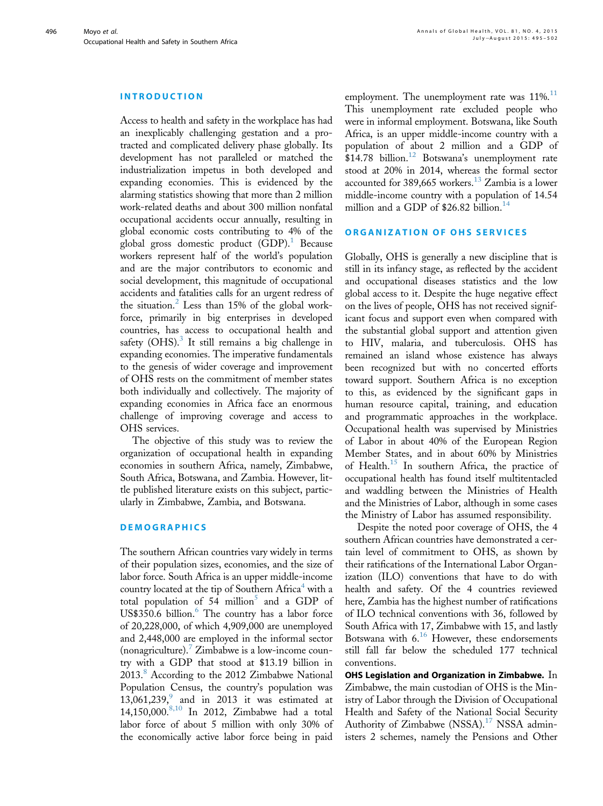#### INTRODUCTION

Access to health and safety in the workplace has had an inexplicably challenging gestation and a protracted and complicated delivery phase globally. Its development has not paralleled or matched the industrialization impetus in both developed and expanding economies. This is evidenced by the alarming statistics showing that more than 2 million work-related deaths and about 300 million nonfatal occupational accidents occur annually, resulting in global economic costs contributing to 4% of the global gross domestic product  $(GDP)<sup>1</sup>$  $(GDP)<sup>1</sup>$  $(GDP)<sup>1</sup>$  Because workers represent half of the world's population and are the major contributors to economic and social development, this magnitude of occupational accidents and fatalities calls for an urgent redress of the situation.<sup>[2](#page-6-0)</sup> Less than 15% of the global workforce, primarily in big enterprises in developed countries, has access to occupational health and safety (OHS). $3$  It still remains a big challenge in expanding economies. The imperative fundamentals to the genesis of wider coverage and improvement of OHS rests on the commitment of member states both individually and collectively. The majority of expanding economies in Africa face an enormous challenge of improving coverage and access to OHS services.

The objective of this study was to review the organization of occupational health in expanding economies in southern Africa, namely, Zimbabwe, South Africa, Botswana, and Zambia. However, little published literature exists on this subject, particularly in Zimbabwe, Zambia, and Botswana.

# **DEMOGRAPHICS**

The southern African countries vary widely in terms of their population sizes, economies, and the size of labor force. South Africa is an upper middle-income country located at the tip of Southern Africa<sup>4</sup> with a total population of [5](#page-6-0)4 million<sup>5</sup> and a GDP of US\$350.[6](#page-6-0) billion.<sup>6</sup> The country has a labor force of 20,228,000, of which 4,909,000 are unemployed and 2,448,000 are employed in the informal sector (nonagriculture).<sup>[7](#page-6-0)</sup> Zimbabwe is a low-income country with a GDP that stood at \$13.19 billion in 2013.<sup>[8](#page-6-0)</sup> According to the 2012 Zimbabwe National Population Census, the country's population was 13,061,23[9](#page-6-0), $\degree$  and in 2013 it was estimated at 14,150,000.<sup>[8,10](#page-6-0)</sup> In 2012, Zimbabwe had a total labor force of about 5 million with only 30% of the economically active labor force being in paid

employment. The unemployment rate was [11](#page-6-0)%.<sup>11</sup> This unemployment rate excluded people who were in informal employment. Botswana, like South Africa, is an upper middle-income country with a population of about 2 million and a GDP of  $$14.78$  billion.<sup>[12](#page-6-0)</sup> Botswana's unemployment rate stood at 20% in 2014, whereas the formal sector accounted for 389,665 workers.[13](#page-6-0) Zambia is a lower middle-income country with a population of 14.54 million and a GDP of \$26.82 billion.<sup>[14](#page-6-0)</sup>

## ORGANIZATION OF OHS SERVICES

Globally, OHS is generally a new discipline that is still in its infancy stage, as reflected by the accident and occupational diseases statistics and the low global access to it. Despite the huge negative effect on the lives of people, OHS has not received significant focus and support even when compared with the substantial global support and attention given to HIV, malaria, and tuberculosis. OHS has remained an island whose existence has always been recognized but with no concerted efforts toward support. Southern Africa is no exception to this, as evidenced by the significant gaps in human resource capital, training, and education and programmatic approaches in the workplace. Occupational health was supervised by Ministries of Labor in about 40% of the European Region Member States, and in about 60% by Ministries of Health[.15](#page-6-0) In southern Africa, the practice of occupational health has found itself multitentacled and waddling between the Ministries of Health and the Ministries of Labor, although in some cases the Ministry of Labor has assumed responsibility.

Despite the noted poor coverage of OHS, the 4 southern African countries have demonstrated a certain level of commitment to OHS, as shown by their ratifications of the International Labor Organization (ILO) conventions that have to do with health and safety. Of the 4 countries reviewed here, Zambia has the highest number of ratifications of ILO technical conventions with 36, followed by South Africa with 17, Zimbabwe with 15, and lastly Botswana with  $6.16$  $6.16$  However, these endorsements still fall far below the scheduled 177 technical conventions.

OHS Legislation and Organization in Zimbabwe.  $In$ Zimbabwe, the main custodian of OHS is the Ministry of Labor through the Division of Occupational Health and Safety of the National Social Security Authority of Zimbabwe (NSSA).<sup>[17](#page-6-0)</sup> NSSA administers 2 schemes, namely the Pensions and Other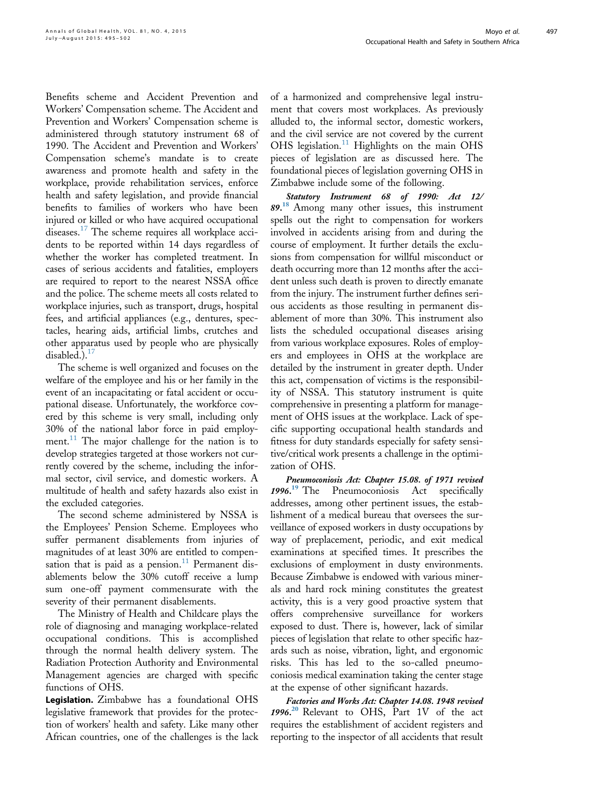Benefits scheme and Accident Prevention and Workers' Compensation scheme. The Accident and Prevention and Workers' Compensation scheme is administered through statutory instrument 68 of 1990. The Accident and Prevention and Workers' Compensation scheme's mandate is to create awareness and promote health and safety in the workplace, provide rehabilitation services, enforce health and safety legislation, and provide financial benefits to families of workers who have been injured or killed or who have acquired occupational diseases.<sup>[17](#page-6-0)</sup> The scheme requires all workplace accidents to be reported within 14 days regardless of whether the worker has completed treatment. In cases of serious accidents and fatalities, employers are required to report to the nearest NSSA office and the police. The scheme meets all costs related to workplace injuries, such as transport, drugs, hospital fees, and artificial appliances (e.g., dentures, spectacles, hearing aids, artificial limbs, crutches and other apparatus used by people who are physically disabled.). $^{17}$  $^{17}$  $^{17}$ 

The scheme is well organized and focuses on the welfare of the employee and his or her family in the event of an incapacitating or fatal accident or occupational disease. Unfortunately, the workforce covered by this scheme is very small, including only 30% of the national labor force in paid employment. $11$  The major challenge for the nation is to develop strategies targeted at those workers not currently covered by the scheme, including the informal sector, civil service, and domestic workers. A multitude of health and safety hazards also exist in the excluded categories.

The second scheme administered by NSSA is the Employees' Pension Scheme. Employees who suffer permanent disablements from injuries of magnitudes of at least 30% are entitled to compen-sation that is paid as a pension.<sup>[11](#page-6-0)</sup> Permanent disablements below the 30% cutoff receive a lump sum one-off payment commensurate with the severity of their permanent disablements.

The Ministry of Health and Childcare plays the role of diagnosing and managing workplace-related occupational conditions. This is accomplished through the normal health delivery system. The Radiation Protection Authority and Environmental Management agencies are charged with specific functions of OHS.

Legislation. Zimbabwe has a foundational OHS legislative framework that provides for the protection of workers' health and safety. Like many other African countries, one of the challenges is the lack of a harmonized and comprehensive legal instrument that covers most workplaces. As previously alluded to, the informal sector, domestic workers, and the civil service are not covered by the current OHS legislation.<sup>[11](#page-6-0)</sup> Highlights on the main OHS pieces of legislation are as discussed here. The foundational pieces of legislation governing OHS in Zimbabwe include some of the following.

Statutory Instrument 68 of 1990: Act 12/ 89. [18](#page-6-0) Among many other issues, this instrument spells out the right to compensation for workers involved in accidents arising from and during the course of employment. It further details the exclusions from compensation for willful misconduct or death occurring more than 12 months after the accident unless such death is proven to directly emanate from the injury. The instrument further defines serious accidents as those resulting in permanent disablement of more than 30%. This instrument also lists the scheduled occupational diseases arising from various workplace exposures. Roles of employers and employees in OHS at the workplace are detailed by the instrument in greater depth. Under this act, compensation of victims is the responsibility of NSSA. This statutory instrument is quite comprehensive in presenting a platform for management of OHS issues at the workplace. Lack of specific supporting occupational health standards and fitness for duty standards especially for safety sensitive/critical work presents a challenge in the optimization of OHS.

Pneumoconiosis Act: Chapter 15.08. of 1971 revised 1996. [19](#page-6-0) The Pneumoconiosis Act specifically addresses, among other pertinent issues, the establishment of a medical bureau that oversees the surveillance of exposed workers in dusty occupations by way of preplacement, periodic, and exit medical examinations at specified times. It prescribes the exclusions of employment in dusty environments. Because Zimbabwe is endowed with various minerals and hard rock mining constitutes the greatest activity, this is a very good proactive system that offers comprehensive surveillance for workers exposed to dust. There is, however, lack of similar pieces of legislation that relate to other specific hazards such as noise, vibration, light, and ergonomic risks. This has led to the so-called pneumoconiosis medical examination taking the center stage at the expense of other significant hazards.

Factories and Works Act: Chapter 14.08. 1948 revised 1996. [20](#page-6-0) Relevant to OHS, Part 1V of the act requires the establishment of accident registers and reporting to the inspector of all accidents that result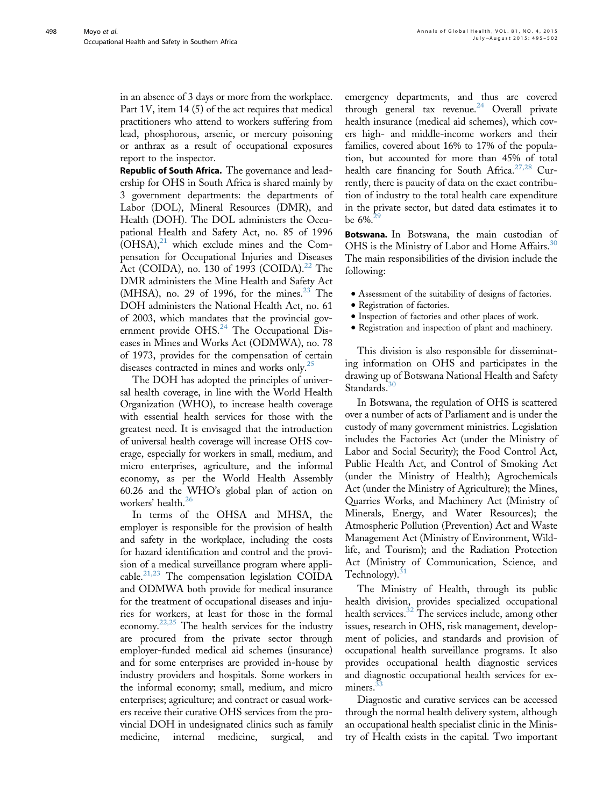in an absence of 3 days or more from the workplace. Part 1V, item 14 (5) of the act requires that medical practitioners who attend to workers suffering from lead, phosphorous, arsenic, or mercury poisoning or anthrax as a result of occupational exposures report to the inspector.

Republic of South Africa. The governance and leadership for OHS in South Africa is shared mainly by 3 government departments: the departments of Labor (DOL), Mineral Resources (DMR), and Health (DOH). The DOL administers the Occupational Health and Safety Act, no. 85 of 1996  $(OHSA)$ ,<sup>[21](#page-6-0)</sup> which exclude mines and the Compensation for Occupational Injuries and Diseases Act (COIDA), no. 130 of 1993 (COIDA).<sup>[22](#page-6-0)</sup> The DMR administers the Mine Health and Safety Act (MHSA), no. 29 of 1996, for the mines.<sup>[23](#page-6-0)</sup> The DOH administers the National Health Act, no. 61 of 2003, which mandates that the provincial gov-ernment provide OHS.<sup>[24](#page-6-0)</sup> The Occupational Diseases in Mines and Works Act (ODMWA), no. 78 of 1973, provides for the compensation of certain diseases contracted in mines and works only.<sup>[25](#page-6-0)</sup>

The DOH has adopted the principles of universal health coverage, in line with the World Health Organization (WHO), to increase health coverage with essential health services for those with the greatest need. It is envisaged that the introduction of universal health coverage will increase OHS coverage, especially for workers in small, medium, and micro enterprises, agriculture, and the informal economy, as per the World Health Assembly 60.26 and the WHO's global plan of action on workers' health.<sup>[26](#page-6-0)</sup>

In terms of the OHSA and MHSA, the employer is responsible for the provision of health and safety in the workplace, including the costs for hazard identification and control and the provision of a medical surveillance program where appli-cable.<sup>[21,23](#page-6-0)</sup> The compensation legislation COIDA and ODMWA both provide for medical insurance for the treatment of occupational diseases and injuries for workers, at least for those in the formal economy. $22,25$  The health services for the industry are procured from the private sector through employer-funded medical aid schemes (insurance) and for some enterprises are provided in-house by industry providers and hospitals. Some workers in the informal economy; small, medium, and micro enterprises; agriculture; and contract or casual workers receive their curative OHS services from the provincial DOH in undesignated clinics such as family medicine, internal medicine, surgical, and emergency departments, and thus are covered through general tax revenue.<sup>[24](#page-6-0)</sup> Overall private health insurance (medical aid schemes), which covers high- and middle-income workers and their families, covered about 16% to 17% of the population, but accounted for more than 45% of total health care financing for South Africa.<sup>[27,28](#page-6-0)</sup> Currently, there is paucity of data on the exact contribution of industry to the total health care expenditure in the private sector, but dated data estimates it to be  $6\%$ <sup>2</sup>

Botswana. In Botswana, the main custodian of OHS is the Ministry of Labor and Home Affairs.<sup>[30](#page-6-0)</sup> The main responsibilities of the division include the following:

- $\bullet$  Assessment of the suitability of designs of factories.
- Registration of factories.
- $\bullet$  Inspection of factories and other places of work.
- <sup>d</sup> Registration and inspection of plant and machinery.

This division is also responsible for disseminating information on OHS and participates in the drawing up of Botswana National Health and Safety Standards.<sup>3</sup>

In Botswana, the regulation of OHS is scattered over a number of acts of Parliament and is under the custody of many government ministries. Legislation includes the Factories Act (under the Ministry of Labor and Social Security); the Food Control Act, Public Health Act, and Control of Smoking Act (under the Ministry of Health); Agrochemicals Act (under the Ministry of Agriculture); the Mines, Quarries Works, and Machinery Act (Ministry of Minerals, Energy, and Water Resources); the Atmospheric Pollution (Prevention) Act and Waste Management Act (Ministry of Environment, Wildlife, and Tourism); and the Radiation Protection Act (Ministry of Communication, Science, and Technology).<sup>[31](#page-6-0)</sup>

The Ministry of Health, through its public health division, provides specialized occupational health services.<sup>[32](#page-6-0)</sup> The services include, among other issues, research in OHS, risk management, development of policies, and standards and provision of occupational health surveillance programs. It also provides occupational health diagnostic services and diagnostic occupational health services for exminers.

Diagnostic and curative services can be accessed through the normal health delivery system, although an occupational health specialist clinic in the Ministry of Health exists in the capital. Two important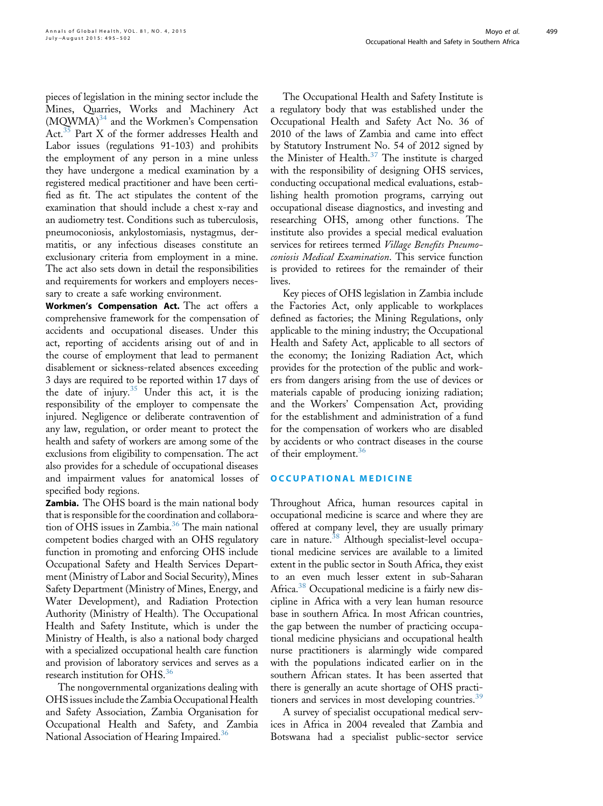pieces of legislation in the mining sector include the Mines, Quarries, Works and Machinery Act (MQWMA)<sup>[34](#page-7-0)</sup> and the Workmen's Compensation  $Act.^{\overline{35}}$  $Act.^{\overline{35}}$  $Act.^{\overline{35}}$  Part X of the former addresses Health and Labor issues (regulations 91-103) and prohibits the employment of any person in a mine unless they have undergone a medical examination by a registered medical practitioner and have been certified as fit. The act stipulates the content of the examination that should include a chest x-ray and an audiometry test. Conditions such as tuberculosis, pneumoconiosis, ankylostomiasis, nystagmus, dermatitis, or any infectious diseases constitute an exclusionary criteria from employment in a mine. The act also sets down in detail the responsibilities and requirements for workers and employers necessary to create a safe working environment.

Workmen's Compensation Act. The act offers a comprehensive framework for the compensation of accidents and occupational diseases. Under this act, reporting of accidents arising out of and in the course of employment that lead to permanent disablement or sickness-related absences exceeding 3 days are required to be reported within 17 days of the date of injury.<sup>[35](#page-7-0)</sup> Under this act, it is the responsibility of the employer to compensate the injured. Negligence or deliberate contravention of any law, regulation, or order meant to protect the health and safety of workers are among some of the exclusions from eligibility to compensation. The act also provides for a schedule of occupational diseases and impairment values for anatomical losses of specified body regions.

Zambia. The OHS board is the main national body that is responsible for the coordination and collabora-tion of OHS issues in Zambia.<sup>[36](#page-7-0)</sup> The main national competent bodies charged with an OHS regulatory function in promoting and enforcing OHS include Occupational Safety and Health Services Department (Ministry of Labor and Social Security), Mines Safety Department (Ministry of Mines, Energy, and Water Development), and Radiation Protection Authority (Ministry of Health). The Occupational Health and Safety Institute, which is under the Ministry of Health, is also a national body charged with a specialized occupational health care function and provision of laboratory services and serves as a research institution for OHS.<sup>[36](#page-7-0)</sup>

The nongovernmental organizations dealing with OHS issues include the Zambia Occupational Health and Safety Association, Zambia Organisation for Occupational Health and Safety, and Zambia National Association of Hearing Impaired.<sup>[36](#page-7-0)</sup>

The Occupational Health and Safety Institute is a regulatory body that was established under the Occupational Health and Safety Act No. 36 of 2010 of the laws of Zambia and came into effect by Statutory Instrument No. 54 of 2012 signed by the Minister of Health.<sup>37</sup> The institute is charged with the responsibility of designing OHS services, conducting occupational medical evaluations, establishing health promotion programs, carrying out occupational disease diagnostics, and investing and researching OHS, among other functions. The institute also provides a special medical evaluation services for retirees termed Village Benefits Pneumoconiosis Medical Examination. This service function is provided to retirees for the remainder of their lives.

Key pieces of OHS legislation in Zambia include the Factories Act, only applicable to workplaces defined as factories; the Mining Regulations, only applicable to the mining industry; the Occupational Health and Safety Act, applicable to all sectors of the economy; the Ionizing Radiation Act, which provides for the protection of the public and workers from dangers arising from the use of devices or materials capable of producing ionizing radiation; and the Workers' Compensation Act, providing for the establishment and administration of a fund for the compensation of workers who are disabled by accidents or who contract diseases in the course of their employment.<sup>[36](#page-7-0)</sup>

## OCCUPATIONAL MEDICINE

Throughout Africa, human resources capital in occupational medicine is scarce and where they are offered at company level, they are usually primary care in nature.<sup>[38](#page-7-0)</sup> Although specialist-level occupational medicine services are available to a limited extent in the public sector in South Africa, they exist to an even much lesser extent in sub-Saharan Africa.<sup>[38](#page-7-0)</sup> Occupational medicine is a fairly new discipline in Africa with a very lean human resource base in southern Africa. In most African countries, the gap between the number of practicing occupational medicine physicians and occupational health nurse practitioners is alarmingly wide compared with the populations indicated earlier on in the southern African states. It has been asserted that there is generally an acute shortage of OHS practi-tioners and services in most developing countries.<sup>[39](#page-7-0)</sup>

A survey of specialist occupational medical services in Africa in 2004 revealed that Zambia and Botswana had a specialist public-sector service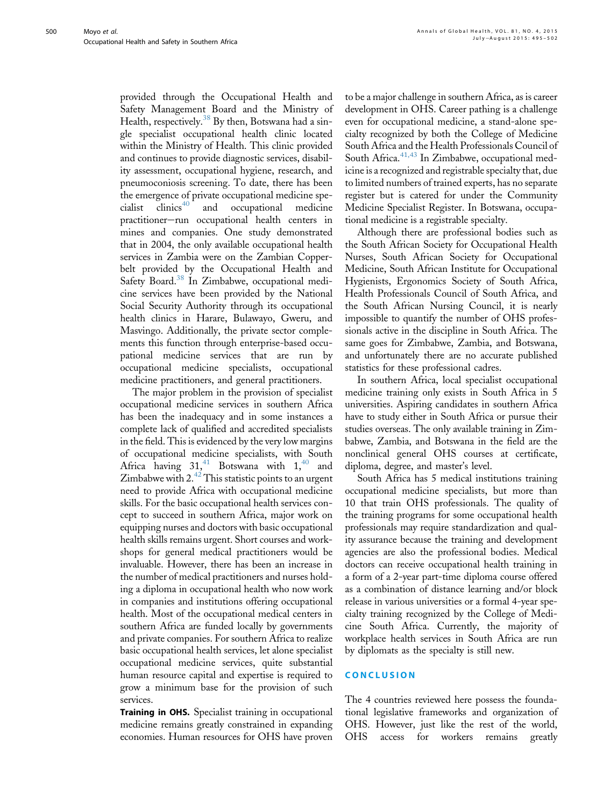provided through the Occupational Health and Safety Management Board and the Ministry of Health, respectively.<sup>[38](#page-7-0)</sup> By then, Botswana had a single specialist occupational health clinic located within the Ministry of Health. This clinic provided and continues to provide diagnostic services, disability assessment, occupational hygiene, research, and pneumoconiosis screening. To date, there has been the emergence of private occupational medicine spe $cialist$  clinics<sup>[40](#page-7-0)</sup> and occupational medicine practitioner-run occupational health centers in mines and companies. One study demonstrated that in 2004, the only available occupational health services in Zambia were on the Zambian Copperbelt provided by the Occupational Health and Safety Board.<sup>[38](#page-7-0)</sup> In Zimbabwe, occupational medicine services have been provided by the National Social Security Authority through its occupational health clinics in Harare, Bulawayo, Gweru, and Masvingo. Additionally, the private sector complements this function through enterprise-based occupational medicine services that are run by occupational medicine specialists, occupational medicine practitioners, and general practitioners.

The major problem in the provision of specialist occupational medicine services in southern Africa has been the inadequacy and in some instances a complete lack of qualified and accredited specialists in the field. This is evidenced by the very low margins of occupational medicine specialists, with South Africa having  $31<sup>41</sup>$  $31<sup>41</sup>$  $31<sup>41</sup>$  Botswana with  $1<sup>40</sup>$  $1<sup>40</sup>$  $1<sup>40</sup>$  and Zimbabwe with  $2.^{42}$  $2.^{42}$  $2.^{42}$  This statistic points to an urgent need to provide Africa with occupational medicine skills. For the basic occupational health services concept to succeed in southern Africa, major work on equipping nurses and doctors with basic occupational health skills remains urgent. Short courses and workshops for general medical practitioners would be invaluable. However, there has been an increase in the number of medical practitioners and nurses holding a diploma in occupational health who now work in companies and institutions offering occupational health. Most of the occupational medical centers in southern Africa are funded locally by governments and private companies. For southern Africa to realize basic occupational health services, let alone specialist occupational medicine services, quite substantial human resource capital and expertise is required to grow a minimum base for the provision of such services.

Training in OHS. Specialist training in occupational medicine remains greatly constrained in expanding economies. Human resources for OHS have proven to be a major challenge in southern Africa, as is career development in OHS. Career pathing is a challenge even for occupational medicine, a stand-alone specialty recognized by both the College of Medicine South Africa and the Health Professionals Council of South Africa.<sup>41,43</sup> In Zimbabwe, occupational medicine is a recognized and registrable specialty that, due to limited numbers of trained experts, has no separate register but is catered for under the Community Medicine Specialist Register. In Botswana, occupational medicine is a registrable specialty.

Although there are professional bodies such as the South African Society for Occupational Health Nurses, South African Society for Occupational Medicine, South African Institute for Occupational Hygienists, Ergonomics Society of South Africa, Health Professionals Council of South Africa, and the South African Nursing Council, it is nearly impossible to quantify the number of OHS professionals active in the discipline in South Africa. The same goes for Zimbabwe, Zambia, and Botswana, and unfortunately there are no accurate published statistics for these professional cadres.

In southern Africa, local specialist occupational medicine training only exists in South Africa in 5 universities. Aspiring candidates in southern Africa have to study either in South Africa or pursue their studies overseas. The only available training in Zimbabwe, Zambia, and Botswana in the field are the nonclinical general OHS courses at certificate, diploma, degree, and master's level.

South Africa has 5 medical institutions training occupational medicine specialists, but more than 10 that train OHS professionals. The quality of the training programs for some occupational health professionals may require standardization and quality assurance because the training and development agencies are also the professional bodies. Medical doctors can receive occupational health training in a form of a 2-year part-time diploma course offered as a combination of distance learning and/or block release in various universities or a formal 4-year specialty training recognized by the College of Medicine South Africa. Currently, the majority of workplace health services in South Africa are run by diplomats as the specialty is still new.

## **CONCLUSION**

The 4 countries reviewed here possess the foundational legislative frameworks and organization of OHS. However, just like the rest of the world, OHS access for workers remains greatly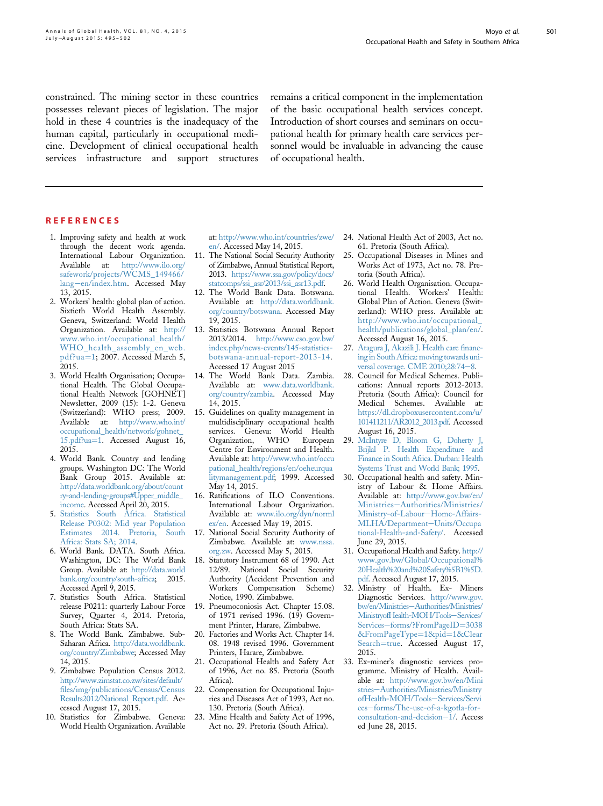<span id="page-6-0"></span>constrained. The mining sector in these countries possesses relevant pieces of legislation. The major hold in these 4 countries is the inadequacy of the human capital, particularly in occupational medicine. Development of clinical occupational health services infrastructure and support structures

remains a critical component in the implementation of the basic occupational health services concept. Introduction of short courses and seminars on occupational health for primary health care services personnel would be invaluable in advancing the cause of occupational health.

#### **REFERENCES**

- 1. Improving safety and health at work through the decent work agenda. International Labour Organization. Available at: [http://www.ilo.org/](http://www.ilo.org/safework/projects/WCMS_149466/lang%5fen/index.htm) [safework/projects/WCMS\\_149466/](http://www.ilo.org/safework/projects/WCMS_149466/lang%5fen/index.htm) [lang](http://www.ilo.org/safework/projects/WCMS_149466/lang%5fen/index.htm)-[en/index.htm](http://www.ilo.org/safework/projects/WCMS_149466/lang%5fen/index.htm). Accessed May 13, 2015.
- 2. Workers' health: global plan of action. Sixtieth World Health Assembly. Geneva, Switzerland: World Health Organization. Available at: [http://](http://www.who.int/occupational_health/WHO_health_assembly_en_web.pdf?ua=1) [www.who.int/occupational\\_health/](http://www.who.int/occupational_health/WHO_health_assembly_en_web.pdf?ua=1) [WHO\\_health\\_assembly\\_en\\_web.](http://www.who.int/occupational_health/WHO_health_assembly_en_web.pdf?ua=1) [pdf?ua](http://www.who.int/occupational_health/WHO_health_assembly_en_web.pdf?ua=1)=[1](http://www.who.int/occupational_health/WHO_health_assembly_en_web.pdf?ua=1); 2007. Accessed March 5, 2015.
- 3. World Health Organisation; Occupational Health. The Global Occupational Health Network [GOHNET] Newsletter, 2009 (15): 1-2. Geneva (Switzerland): WHO press; 2009. Available at: [http://www.who.int/](http://www.who.int/occupational_health/network/gohnet_15.pdf?ua=1) [occupational\\_health/network/gohnet\\_](http://www.who.int/occupational_health/network/gohnet_15.pdf?ua=1) [15.pdf?ua](http://www.who.int/occupational_health/network/gohnet_15.pdf?ua=1)=[1.](http://www.who.int/occupational_health/network/gohnet_15.pdf?ua=1) Accessed August 16, 2015.
- 4. World Bank. Country and lending groups. Washington DC: The World Bank Group 2015. Available at: [http://data.worldbank.org/about/count](http://data.worldbank.org/about/country-and-lending-groups#Upper_middle_income) [ry-and-lending-groups#Upper\\_middle\\_](http://data.worldbank.org/about/country-and-lending-groups#Upper_middle_income) [income](http://data.worldbank.org/about/country-and-lending-groups#Upper_middle_income). Accessed April 20, 2015.
- 5. [Statistics South Africa. Statistical](http://refhub.elsevier.com/S2214-9996(15)01214-X/sref5) [Release P0302: Mid year Population](http://refhub.elsevier.com/S2214-9996(15)01214-X/sref5) [Estimates 2014. Pretoria, South](http://refhub.elsevier.com/S2214-9996(15)01214-X/sref5) [Africa: Stats SA; 2014](http://refhub.elsevier.com/S2214-9996(15)01214-X/sref5).
- 6. World Bank. DATA. South Africa. Washington, DC: The World Bank Group. Available at: [http://data.world](http://data.worldbank.org/country/south-africa) [bank.org/country/south-africa](http://data.worldbank.org/country/south-africa); 2015. Accessed April 9, 2015.
- 7. Statistics South Africa. Statistical release P0211: quarterly Labour Force Survey, Quarter 4, 2014. Pretoria, South Africa: Stats SA.
- 8. The World Bank. Zimbabwe. Sub-Saharan Africa. [http://data.worldbank.](http://data.worldbank.org/country/Zimbabwe) [org/country/Zimbabwe](http://data.worldbank.org/country/Zimbabwe); Accessed May 14, 2015.
- 9. Zimbabwe Population Census 2012. [http://www.zimstat.co.zw/sites/default/](http://www.zimstat.co.zw/sites/default/files/img/publications/Census/CensusResults2012/National_Report.pdf) fi[les/img/publications/Census/Census](http://www.zimstat.co.zw/sites/default/files/img/publications/Census/CensusResults2012/National_Report.pdf) [Results2012/National\\_Report.pdf](http://www.zimstat.co.zw/sites/default/files/img/publications/Census/CensusResults2012/National_Report.pdf). Accessed August 17, 2015.
- 10. Statistics for Zimbabwe. Geneva: World Health Organization. Available

at: [http://www.who.int/countries/zwe/](http://www.who.int/countries/zwe/en/) [en/.](http://www.who.int/countries/zwe/en/) Accessed May 14, 2015.

- 11. The National Social Security Authority of Zimbabwe, Annual Statistical Report, 2013. [https://www.ssa.gov/policy/docs/](https://www.ssa.gov/policy/docs/statcomps/ssi_asr/2013/ssi_asr13.pdf) [statcomps/ssi\\_asr/2013/ssi\\_asr13.pdf.](https://www.ssa.gov/policy/docs/statcomps/ssi_asr/2013/ssi_asr13.pdf)
- 12. The World Bank Data. Botswana. Available at: [http://data.worldbank.](http://data.worldbank.org/country/botswana) [org/country/botswana.](http://data.worldbank.org/country/botswana) Accessed May 19, 2015.
- 13. Statistics Botswana Annual Report 2013/2014. [http://www.cso.gov.bw/](http://www.cso.gov.bw/index.php/news-events/145-statistics-botswana-annual-report-2013-14) [index.php/news-events/145-statistics](http://www.cso.gov.bw/index.php/news-events/145-statistics-botswana-annual-report-2013-14)[botswana-annual-report-2013-14.](http://www.cso.gov.bw/index.php/news-events/145-statistics-botswana-annual-report-2013-14) Accessed 17 August 2015
- 14. The World Bank Data. Zambia. Available at: [www.data.worldbank.](http://www.data.worldbank.org/country/zambia) [org/country/zambia.](http://www.data.worldbank.org/country/zambia) Accessed May 14, 2015.
- 15. Guidelines on quality management in multidisciplinary occupational health services. Geneva: World Health Organization, WHO European Centre for Environment and Health. Available at: [http://www.who.int/occu](http://www.who.int/occupational_health/regions/en/oeheurqualitymanagement.pdf) [pational\\_health/regions/en/oeheurqua](http://www.who.int/occupational_health/regions/en/oeheurqualitymanagement.pdf) [litymanagement.pdf;](http://www.who.int/occupational_health/regions/en/oeheurqualitymanagement.pdf) 1999. Accessed May 14, 2015.
- 16. Ratifications of ILO Conventions. International Labour Organization. Available at: [www.ilo.org/dyn/norml](http://www.ilo.org/dyn/normlex/en) [ex/en.](http://www.ilo.org/dyn/normlex/en) Accessed May 19, 2015.
- 17. National Social Security Authority of Zimbabwe. Available at: [www.nssa.](http://www.nssa.org.zw) [org.zw.](http://www.nssa.org.zw) Accessed May 5, 2015.
- 18. Statutory Instrument 68 of 1990. Act 12/89. National Social Security Authority (Accident Prevention and Workers Compensation Scheme) Notice, 1990. Zimbabwe.
- 19. Pneumoconiosis Act. Chapter 15.08. of 1971 revised 1996. (19) Government Printer, Harare, Zimbabwe.
- 20. Factories and Works Act. Chapter 14. 08. 1948 revised 1996. Government Printers, Harare, Zimbabwe.
- 21. Occupational Health and Safety Act of 1996, Act no. 85. Pretoria (South Africa).
- 22. Compensation for Occupational Injuries and Diseases Act of 1993, Act no. 130. Pretoria (South Africa).
- 23. Mine Health and Safety Act of 1996, Act no. 29. Pretoria (South Africa).
- 24. National Health Act of 2003, Act no. 61. Pretoria (South Africa).
- 25. Occupational Diseases in Mines and Works Act of 1973, Act no. 78. Pretoria (South Africa).
- 26. World Health Organisation. Occupational Health. Workers' Health: Global Plan of Action. Geneva (Switzerland): WHO press. Available at: [http://www.who.int/occupational\\_](http://www.who.int/occupational_health/publications/global_plan/en/) [health/publications/global\\_plan/en/.](http://www.who.int/occupational_health/publications/global_plan/en/) Accessed August 16, 2015.
- 27. [Atagura J, Akazili J. Health care](http://refhub.elsevier.com/S2214-9996(15)01214-X/sref26) financ[ing in South Africa: moving towards uni](http://refhub.elsevier.com/S2214-9996(15)01214-X/sref26)versal coverage. CME  $2010;28:74-8$ .
- 28. Council for Medical Schemes. Publications: Annual reports 2012-2013. Pretoria (South Africa): Council for Medical Schemes. Available at: [https://dl.dropboxusercontent.com/u/](https://dl.dropboxusercontent.com/u/101411211/AR2012_2013.pdf) [101411211/AR2012\\_2013.pdf](https://dl.dropboxusercontent.com/u/101411211/AR2012_2013.pdf). Accessed August 16, 2015.
- 29. [McIntyre D, Bloom G, Doherty J,](http://refhub.elsevier.com/S2214-9996(15)01214-X/sref28) [Brijlal P. Health Expenditure and](http://refhub.elsevier.com/S2214-9996(15)01214-X/sref28) [Finance in South Africa. Durban: Health](http://refhub.elsevier.com/S2214-9996(15)01214-X/sref28) [Systems Trust and World Bank; 1995.](http://refhub.elsevier.com/S2214-9996(15)01214-X/sref28)
- 30. Occupational health and safety. Ministry of Labour & Home Affairs. Available at: [http://www.gov.bw/en/](http://www.gov.bw/en/Ministries%5fAuthorities/Ministries/Ministry-of-Labour%5fHome-Affairs-MLHA/Department%5fUnits/Occupational-Health-and-Safety/) [Ministries](http://www.gov.bw/en/Ministries%5fAuthorities/Ministries/Ministry-of-Labour%5fHome-Affairs-MLHA/Department%5fUnits/Occupational-Health-and-Safety/)-[Authorities/Ministries/](http://www.gov.bw/en/Ministries%5fAuthorities/Ministries/Ministry-of-Labour%5fHome-Affairs-MLHA/Department%5fUnits/Occupational-Health-and-Safety/) [Ministry-of-Labour](http://www.gov.bw/en/Ministries%5fAuthorities/Ministries/Ministry-of-Labour%5fHome-Affairs-MLHA/Department%5fUnits/Occupational-Health-and-Safety/)-[Home-Affairs-](http://www.gov.bw/en/Ministries%5fAuthorities/Ministries/Ministry-of-Labour%5fHome-Affairs-MLHA/Department%5fUnits/Occupational-Health-and-Safety/)[MLHA/Department](http://www.gov.bw/en/Ministries%5fAuthorities/Ministries/Ministry-of-Labour%5fHome-Affairs-MLHA/Department%5fUnits/Occupational-Health-and-Safety/)-[Units/Occupa](http://www.gov.bw/en/Ministries%5fAuthorities/Ministries/Ministry-of-Labour%5fHome-Affairs-MLHA/Department%5fUnits/Occupational-Health-and-Safety/) [tional-Health-and-Safety/](http://www.gov.bw/en/Ministries%5fAuthorities/Ministries/Ministry-of-Labour%5fHome-Affairs-MLHA/Department%5fUnits/Occupational-Health-and-Safety/). Accessed June 29, 2015.
- 31. Occupational Health and Safety. [http://](http://www.gov.bw/Global/Occupational%20Health%20and%20Safety%5B1%5D.pdf) [www.gov.bw/Global/Occupational%](http://www.gov.bw/Global/Occupational%20Health%20and%20Safety%5B1%5D.pdf) [20Health%20and%20Safety%5B1%5D.](http://www.gov.bw/Global/Occupational%20Health%20and%20Safety%5B1%5D.pdf) [pdf](http://www.gov.bw/Global/Occupational%20Health%20and%20Safety%5B1%5D.pdf). Accessed August 17, 2015.
- 32. Ministry of Health. Ex- Miners Diagnostic Services. [http://www.gov.](http://www.gov.bw/en/Ministries%5FAuthorities/Ministries/MinistryofHealth-MOH/Tools%5FServices/Services%5Fforms/?FromPageID=3038&FromPageType=1&pid=1&ClearSearch=true) [bw/en/Ministries](http://www.gov.bw/en/Ministries%5FAuthorities/Ministries/MinistryofHealth-MOH/Tools%5FServices/Services%5Fforms/?FromPageID=3038&FromPageType=1&pid=1&ClearSearch=true)-[Authorities/Ministries/](http://www.gov.bw/en/Ministries%5FAuthorities/Ministries/MinistryofHealth-MOH/Tools%5FServices/Services%5Fforms/?FromPageID=3038&FromPageType=1&pid=1&ClearSearch=true) [MinistryofHealth-MOH/Tools](http://www.gov.bw/en/Ministries%5FAuthorities/Ministries/MinistryofHealth-MOH/Tools%5FServices/Services%5Fforms/?FromPageID=3038&FromPageType=1&pid=1&ClearSearch=true)-[Services/](http://www.gov.bw/en/Ministries%5FAuthorities/Ministries/MinistryofHealth-MOH/Tools%5FServices/Services%5Fforms/?FromPageID=3038&FromPageType=1&pid=1&ClearSearch=true) [Services](http://www.gov.bw/en/Ministries%5FAuthorities/Ministries/MinistryofHealth-MOH/Tools%5FServices/Services%5Fforms/?FromPageID=3038&FromPageType=1&pid=1&ClearSearch=true)-[forms/?FromPageID](http://www.gov.bw/en/Ministries%5FAuthorities/Ministries/MinistryofHealth-MOH/Tools%5FServices/Services%5Fforms/?FromPageID=3038&FromPageType=1&pid=1&ClearSearch=true)=[3038](http://www.gov.bw/en/Ministries%5FAuthorities/Ministries/MinistryofHealth-MOH/Tools%5FServices/Services%5Fforms/?FromPageID=3038&FromPageType=1&pid=1&ClearSearch=true) [&FromPageType](http://www.gov.bw/en/Ministries%5FAuthorities/Ministries/MinistryofHealth-MOH/Tools%5FServices/Services%5Fforms/?FromPageID=3038&FromPageType=1&pid=1&ClearSearch=true)=[1&pid](http://www.gov.bw/en/Ministries%5FAuthorities/Ministries/MinistryofHealth-MOH/Tools%5FServices/Services%5Fforms/?FromPageID=3038&FromPageType=1&pid=1&ClearSearch=true)=[1&Clear](http://www.gov.bw/en/Ministries%5FAuthorities/Ministries/MinistryofHealth-MOH/Tools%5FServices/Services%5Fforms/?FromPageID=3038&FromPageType=1&pid=1&ClearSearch=true) [Search](http://www.gov.bw/en/Ministries%5FAuthorities/Ministries/MinistryofHealth-MOH/Tools%5FServices/Services%5Fforms/?FromPageID=3038&FromPageType=1&pid=1&ClearSearch=true)=[true.](http://www.gov.bw/en/Ministries%5FAuthorities/Ministries/MinistryofHealth-MOH/Tools%5FServices/Services%5Fforms/?FromPageID=3038&FromPageType=1&pid=1&ClearSearch=true) Accessed August 17, 2015.
- 33. Ex-miner's diagnostic services programme. Ministry of Health. Available at: [http://www.gov.bw/en/Mini](http://www.gov.bw/en/Ministries%5fAuthorities/Ministries/MinistryofHealth-MOH/Tools%5fServices/Services%5fforms/The-use-of-a-kgotla-for-consultation-and-decision%5f1/) [stries](http://www.gov.bw/en/Ministries%5fAuthorities/Ministries/MinistryofHealth-MOH/Tools%5fServices/Services%5fforms/The-use-of-a-kgotla-for-consultation-and-decision%5f1/)-[Authorities/Ministries/Ministry](http://www.gov.bw/en/Ministries%5fAuthorities/Ministries/MinistryofHealth-MOH/Tools%5fServices/Services%5fforms/The-use-of-a-kgotla-for-consultation-and-decision%5f1/) [ofHealth-MOH/Tools](http://www.gov.bw/en/Ministries%5fAuthorities/Ministries/MinistryofHealth-MOH/Tools%5fServices/Services%5fforms/The-use-of-a-kgotla-for-consultation-and-decision%5f1/)-[Services/Servi](http://www.gov.bw/en/Ministries%5fAuthorities/Ministries/MinistryofHealth-MOH/Tools%5fServices/Services%5fforms/The-use-of-a-kgotla-for-consultation-and-decision%5f1/) [ces](http://www.gov.bw/en/Ministries%5fAuthorities/Ministries/MinistryofHealth-MOH/Tools%5fServices/Services%5fforms/The-use-of-a-kgotla-for-consultation-and-decision%5f1/)-[forms/The-use-of-a-kgotla-for](http://www.gov.bw/en/Ministries%5fAuthorities/Ministries/MinistryofHealth-MOH/Tools%5fServices/Services%5fforms/The-use-of-a-kgotla-for-consultation-and-decision%5f1/)[consultation-and-decision](http://www.gov.bw/en/Ministries%5fAuthorities/Ministries/MinistryofHealth-MOH/Tools%5fServices/Services%5fforms/The-use-of-a-kgotla-for-consultation-and-decision%5f1/)-[1/](http://www.gov.bw/en/Ministries%5fAuthorities/Ministries/MinistryofHealth-MOH/Tools%5fServices/Services%5fforms/The-use-of-a-kgotla-for-consultation-and-decision%5f1/). Access ed June 28, 2015.